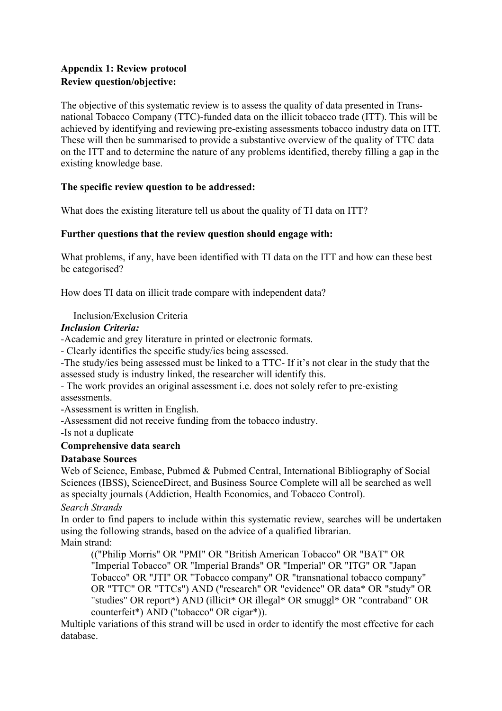## **Appendix 1: Review protocol Review question/objective:**

The objective of this systematic review is to assess the quality of data presented in Transnational Tobacco Company (TTC)-funded data on the illicit tobacco trade (ITT). This will be achieved by identifying and reviewing pre-existing assessments tobacco industry data on ITT. These will then be summarised to provide a substantive overview of the quality of TTC data on the ITT and to determine the nature of any problems identified, thereby filling a gap in the existing knowledge base.

## **The specific review question to be addressed:**

What does the existing literature tell us about the quality of TI data on ITT?

#### **Further questions that the review question should engage with:**

What problems, if any, have been identified with TI data on the ITT and how can these best be categorised?

How does TI data on illicit trade compare with independent data?

Inclusion/Exclusion Criteria

#### *Inclusion Criteria:*

-Academic and grey literature in printed or electronic formats.

- Clearly identifies the specific study/ies being assessed.

-The study/ies being assessed must be linked to a TTC- If it's not clear in the study that the assessed study is industry linked, the researcher will identify this.

- The work provides an original assessment i.e. does not solely refer to pre-existing assessments.

-Assessment is written in English.

-Assessment did not receive funding from the tobacco industry.

-Is not a duplicate

#### **Comprehensive data search**

#### **Database Sources**

Web of Science, Embase, Pubmed & Pubmed Central, International Bibliography of Social Sciences (IBSS), ScienceDirect, and Business Source Complete will all be searched as well as specialty journals (Addiction, Health Economics, and Tobacco Control).

#### *Search Strands*

In order to find papers to include within this systematic review, searches will be undertaken using the following strands, based on the advice of a qualified librarian. Main strand:

(("Philip Morris" OR "PMI" OR "British American Tobacco" OR "BAT" OR "Imperial Tobacco" OR "Imperial Brands" OR "Imperial" OR "ITG" OR "Japan Tobacco" OR "JTI" OR "Tobacco company" OR "transnational tobacco company" OR "TTC" OR "TTCs") AND ("research" OR "evidence" OR data\* OR "study" OR counterfeit\*) AND ("tobacco" OR cigar\*)). "studies" OR report\*) AND (illicit\* OR illegal\* OR smuggl\* OR "contraband" OR

Multiple variations of this strand will be used in order to identify the most effective for each database.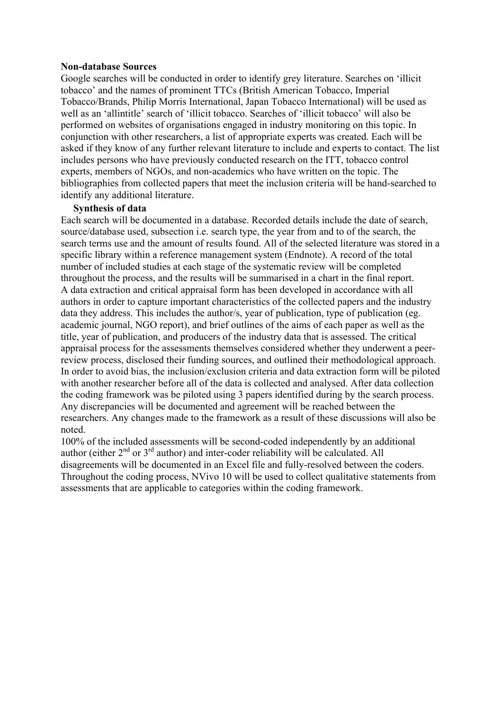#### **Non-database Sources**

Google searches will be conducted in order to identify grey literature. Searches on 'illicit tobacco' and the names of prominent TTCs (British American Tobacco, Imperial Tobacco/Brands, Philip Morris International, Japan Tobacco International) will be used as well as an 'allintitle' search of 'illicit tobacco. Searches of 'illicit tobacco' will also be performed on websites of organisations engaged in industry monitoring on this topic. In conjunction with other researchers, a list of appropriate experts was created. Each will be asked if they know of any further relevant literature to include and experts to contact. The list includes persons who have previously conducted research on the ITT, tobacco control experts, members of NGOs, and non-academics who have written on the topic. The bibliographies from collected papers that meet the inclusion criteria will be hand-searched to identify any additional literature.

#### **Synthesis of data**

Each search will be documented in a database. Recorded details include the date of search, source/database used, subsection i.e. search type, the year from and to of the search, the search terms use and the amount of results found. All of the selected literature was stored in a specific library within a reference management system (Endnote). A record of the total number of included studies at each stage of the systematic review will be completed throughout the process, and the results will be summarised in a chart in the final report. A data extraction and critical appraisal form has been developed in accordance with all authors in order to capture important characteristics of the collected papers and the industry data they address. This includes the author/s, year of publication, type of publication (eg. academic journal, NGO report), and brief outlines of the aims of each paper as well as the title, year of publication, and producers of the industry data that is assessed. The critical appraisal process for the assessments themselves considered whether they underwent a peerreview process, disclosed their funding sources, and outlined their methodological approach. In order to avoid bias, the inclusion/exclusion criteria and data extraction form will be piloted with another researcher before all of the data is collected and analysed. After data collection the coding framework was be piloted using 3 papers identified during by the search process. Any discrepancies will be documented and agreement will be reached between the researchers. Any changes made to the framework as a result of these discussions will also be noted.

100% of the included assessments will be second-coded independently by an additional author (either  $2<sup>nd</sup>$  or  $3<sup>rd</sup>$  author) and inter-coder reliability will be calculated. All disagreements will be documented in an Excel file and fully-resolved between the coders. Throughout the coding process, NVivo 10 will be used to collect qualitative statements from assessments that are applicable to categories within the coding framework.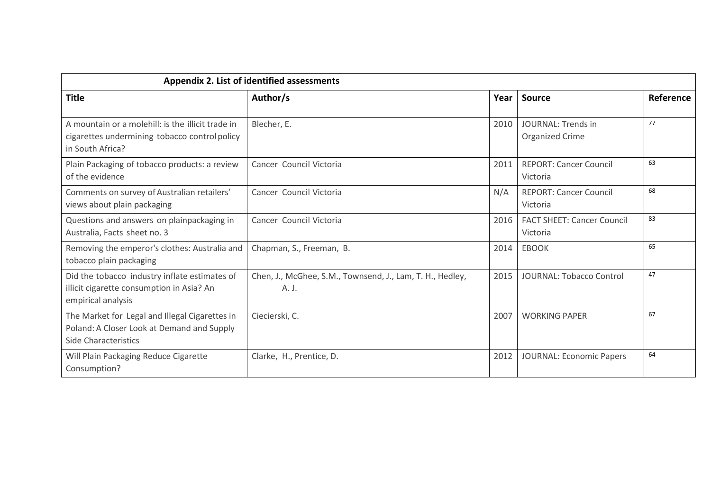| <b>Appendix 2. List of identified assessments</b>                                                                           |                                                                    |      |                                               |           |
|-----------------------------------------------------------------------------------------------------------------------------|--------------------------------------------------------------------|------|-----------------------------------------------|-----------|
| <b>Title</b>                                                                                                                | Author/s                                                           | Year | <b>Source</b>                                 | Reference |
| A mountain or a molehill: is the illicit trade in<br>cigarettes undermining tobacco control policy<br>in South Africa?      | Blecher, E.                                                        | 2010 | <b>JOURNAL: Trends in</b><br>Organized Crime  | 77        |
| Plain Packaging of tobacco products: a review<br>of the evidence                                                            | Cancer Council Victoria                                            | 2011 | <b>REPORT: Cancer Council</b><br>Victoria     | 63        |
| Comments on survey of Australian retailers'<br>views about plain packaging                                                  | Cancer Council Victoria                                            | N/A  | <b>REPORT: Cancer Council</b><br>Victoria     | 68        |
| Questions and answers on plainpackaging in<br>Australia, Facts sheet no. 3                                                  | Cancer Council Victoria                                            | 2016 | <b>FACT SHEET: Cancer Council</b><br>Victoria | 83        |
| Removing the emperor's clothes: Australia and<br>tobacco plain packaging                                                    | Chapman, S., Freeman, B.                                           | 2014 | <b>EBOOK</b>                                  | 65        |
| Did the tobacco industry inflate estimates of<br>illicit cigarette consumption in Asia? An<br>empirical analysis            | Chen, J., McGhee, S.M., Townsend, J., Lam, T. H., Hedley,<br>A. J. | 2015 | <b>JOURNAL: Tobacco Control</b>               | 47        |
| The Market for Legal and Illegal Cigarettes in<br>Poland: A Closer Look at Demand and Supply<br><b>Side Characteristics</b> | Ciecierski, C.                                                     | 2007 | <b>WORKING PAPER</b>                          | 67        |
| Will Plain Packaging Reduce Cigarette<br>Consumption?                                                                       | Clarke, H., Prentice, D.                                           | 2012 | JOURNAL: Economic Papers                      | 64        |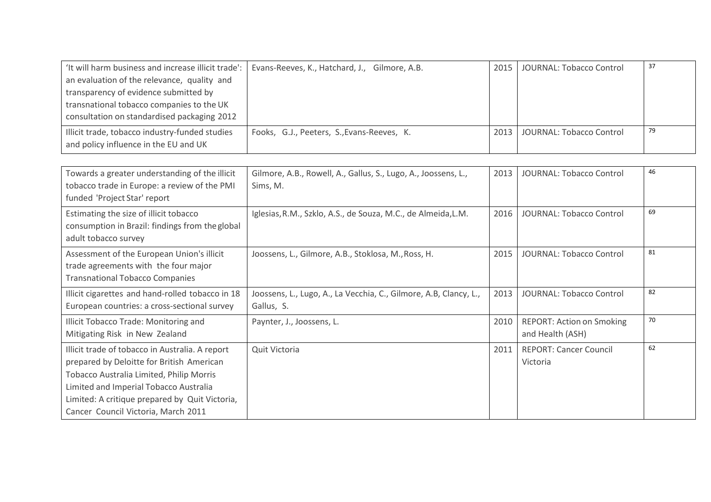| 'It will harm business and increase illicit trade':   Evans-Reeves, K., Hatchard, J., Gilmore, A.B. |                                            | 2015             | JOURNAL: Tobacco Control | 37 |
|-----------------------------------------------------------------------------------------------------|--------------------------------------------|------------------|--------------------------|----|
| an evaluation of the relevance, quality and                                                         |                                            |                  |                          |    |
| transparency of evidence submitted by                                                               |                                            |                  |                          |    |
| transnational tobacco companies to the UK                                                           |                                            |                  |                          |    |
| consultation on standardised packaging 2012                                                         |                                            |                  |                          |    |
| Illicit trade, tobacco industry-funded studies                                                      | Fooks, G.J., Peeters, S., Evans-Reeves, K. | $2013 \text{ l}$ | JOURNAL: Tobacco Control | 79 |
| and policy influence in the EU and UK                                                               |                                            |                  |                          |    |

| Towards a greater understanding of the illicit<br>tobacco trade in Europe: a review of the PMI<br>funded 'Project Star' report                                                                                                                                              | Gilmore, A.B., Rowell, A., Gallus, S., Lugo, A., Joossens, L.,<br>Sims, M.      | 2013 | <b>JOURNAL: Tobacco Control</b>                      | 46 |
|-----------------------------------------------------------------------------------------------------------------------------------------------------------------------------------------------------------------------------------------------------------------------------|---------------------------------------------------------------------------------|------|------------------------------------------------------|----|
| Estimating the size of illicit tobacco<br>consumption in Brazil: findings from the global<br>adult tobacco survey                                                                                                                                                           | Iglesias, R.M., Szklo, A.S., de Souza, M.C., de Almeida, L.M.                   | 2016 | JOURNAL: Tobacco Control                             | 69 |
| Assessment of the European Union's illicit<br>trade agreements with the four major<br><b>Transnational Tobacco Companies</b>                                                                                                                                                | Joossens, L., Gilmore, A.B., Stoklosa, M., Ross, H.                             | 2015 | <b>JOURNAL: Tobacco Control</b>                      | 81 |
| Illicit cigarettes and hand-rolled tobacco in 18<br>European countries: a cross-sectional survey                                                                                                                                                                            | Joossens, L., Lugo, A., La Vecchia, C., Gilmore, A.B, Clancy, L.,<br>Gallus, S. | 2013 | JOURNAL: Tobacco Control                             | 82 |
| Illicit Tobacco Trade: Monitoring and<br>Mitigating Risk in New Zealand                                                                                                                                                                                                     | Paynter, J., Joossens, L.                                                       | 2010 | <b>REPORT: Action on Smoking</b><br>and Health (ASH) | 70 |
| Illicit trade of tobacco in Australia. A report<br>prepared by Deloitte for British American<br>Tobacco Australia Limited, Philip Morris<br>Limited and Imperial Tobacco Australia<br>Limited: A critique prepared by Quit Victoria,<br>Cancer Council Victoria, March 2011 | Quit Victoria                                                                   | 2011 | <b>REPORT: Cancer Council</b><br>Victoria            | 62 |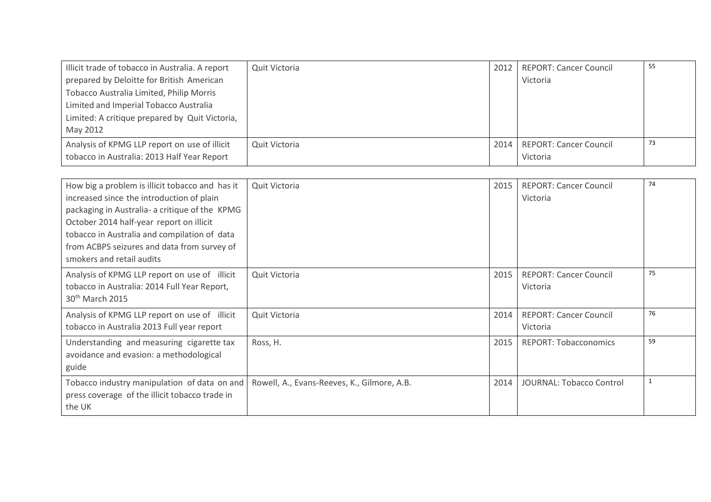| Illicit trade of tobacco in Australia. A report | Quit Victoria | $2012$ $\blacksquare$ | <b>REPORT: Cancer Council</b> | 55 |
|-------------------------------------------------|---------------|-----------------------|-------------------------------|----|
| prepared by Deloitte for British American       |               |                       | Victoria                      |    |
| Tobacco Australia Limited, Philip Morris        |               |                       |                               |    |
| Limited and Imperial Tobacco Australia          |               |                       |                               |    |
| Limited: A critique prepared by Quit Victoria,  |               |                       |                               |    |
| May 2012                                        |               |                       |                               |    |
| Analysis of KPMG LLP report on use of illicit   | Quit Victoria | 2014 l                | <b>REPORT: Cancer Council</b> | 73 |
| tobacco in Australia: 2013 Half Year Report     |               |                       | Victoria                      |    |

| How big a problem is illicit tobacco and has it<br>increased since the introduction of plain<br>packaging in Australia- a critique of the KPMG<br>October 2014 half-year report on illicit<br>tobacco in Australia and compilation of data<br>from ACBPS seizures and data from survey of<br>smokers and retail audits | Quit Victoria                               | 2015 | <b>REPORT: Cancer Council</b><br>Victoria | 74           |
|------------------------------------------------------------------------------------------------------------------------------------------------------------------------------------------------------------------------------------------------------------------------------------------------------------------------|---------------------------------------------|------|-------------------------------------------|--------------|
| Analysis of KPMG LLP report on use of illicit<br>tobacco in Australia: 2014 Full Year Report,<br>30 <sup>th</sup> March 2015                                                                                                                                                                                           | Quit Victoria                               | 2015 | <b>REPORT: Cancer Council</b><br>Victoria | 75           |
| Analysis of KPMG LLP report on use of illicit<br>tobacco in Australia 2013 Full year report                                                                                                                                                                                                                            | Quit Victoria                               | 2014 | <b>REPORT: Cancer Council</b><br>Victoria | 76           |
| Understanding and measuring cigarette tax<br>avoidance and evasion: a methodological<br>guide                                                                                                                                                                                                                          | Ross, H.                                    | 2015 | <b>REPORT: Tobacconomics</b>              | 59           |
| Tobacco industry manipulation of data on and<br>press coverage of the illicit tobacco trade in<br>the UK                                                                                                                                                                                                               | Rowell, A., Evans-Reeves, K., Gilmore, A.B. | 2014 | JOURNAL: Tobacco Control                  | $\mathbf{1}$ |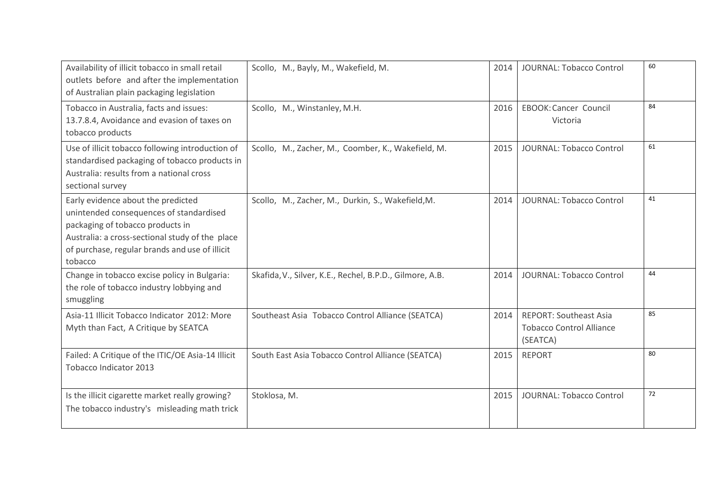| Availability of illicit tobacco in small retail<br>outlets before and after the implementation<br>of Australian plain packaging legislation                                                                                       | Scollo, M., Bayly, M., Wakefield, M.                     | 2014 | JOURNAL: Tobacco Control                                                     | 60 |
|-----------------------------------------------------------------------------------------------------------------------------------------------------------------------------------------------------------------------------------|----------------------------------------------------------|------|------------------------------------------------------------------------------|----|
| Tobacco in Australia, facts and issues:<br>13.7.8.4, Avoidance and evasion of taxes on<br>tobacco products                                                                                                                        | Scollo, M., Winstanley, M.H.                             | 2016 | EBOOK: Cancer Council<br>Victoria                                            | 84 |
| Use of illicit tobacco following introduction of<br>standardised packaging of tobacco products in<br>Australia: results from a national cross<br>sectional survey                                                                 | Scollo, M., Zacher, M., Coomber, K., Wakefield, M.       | 2015 | JOURNAL: Tobacco Control                                                     | 61 |
| Early evidence about the predicted<br>unintended consequences of standardised<br>packaging of tobacco products in<br>Australia: a cross-sectional study of the place<br>of purchase, regular brands and use of illicit<br>tobacco | Scollo, M., Zacher, M., Durkin, S., Wakefield, M.        | 2014 | JOURNAL: Tobacco Control                                                     | 41 |
| Change in tobacco excise policy in Bulgaria:<br>the role of tobacco industry lobbying and<br>smuggling                                                                                                                            | Skafida, V., Silver, K.E., Rechel, B.P.D., Gilmore, A.B. | 2014 | JOURNAL: Tobacco Control                                                     | 44 |
| Asia-11 Illicit Tobacco Indicator 2012: More<br>Myth than Fact, A Critique by SEATCA                                                                                                                                              | Southeast Asia Tobacco Control Alliance (SEATCA)         | 2014 | <b>REPORT: Southeast Asia</b><br><b>Tobacco Control Alliance</b><br>(SEATCA) | 85 |
| Failed: A Critique of the ITIC/OE Asia-14 Illicit<br>Tobacco Indicator 2013                                                                                                                                                       | South East Asia Tobacco Control Alliance (SEATCA)        | 2015 | <b>REPORT</b>                                                                | 80 |
| Is the illicit cigarette market really growing?<br>The tobacco industry's misleading math trick                                                                                                                                   | Stoklosa, M.                                             | 2015 | JOURNAL: Tobacco Control                                                     | 72 |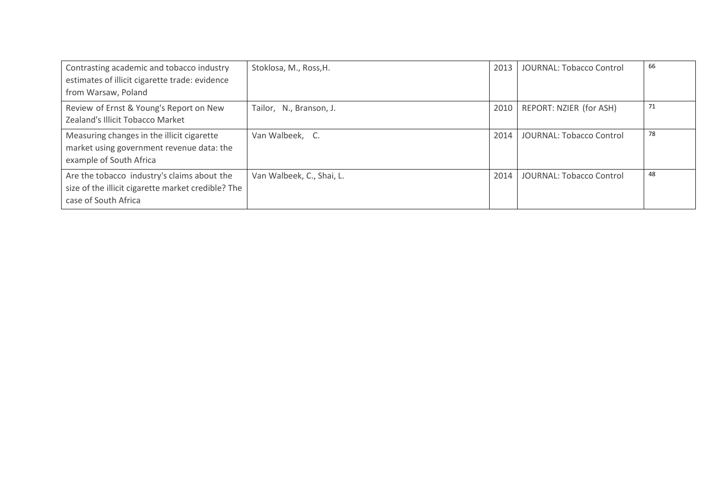| Contrasting academic and tobacco industry<br>estimates of illicit cigarette trade: evidence<br>from Warsaw, Poland        | Stoklosa, M., Ross, H.    | 2013 | <b>JOURNAL: Tobacco Control</b> | 66 |
|---------------------------------------------------------------------------------------------------------------------------|---------------------------|------|---------------------------------|----|
| Review of Ernst & Young's Report on New<br>Zealand's Illicit Tobacco Market                                               | Tailor, N., Branson, J.   | 2010 | REPORT: NZIER (for ASH)         | 71 |
| Measuring changes in the illicit cigarette<br>market using government revenue data: the<br>example of South Africa        | Van Walbeek, C.           | 2014 | <b>JOURNAL: Tobacco Control</b> | 78 |
| Are the tobacco industry's claims about the<br>size of the illicit cigarette market credible? The<br>case of South Africa | Van Walbeek, C., Shai, L. | 2014 | <b>JOURNAL: Tobacco Control</b> | 48 |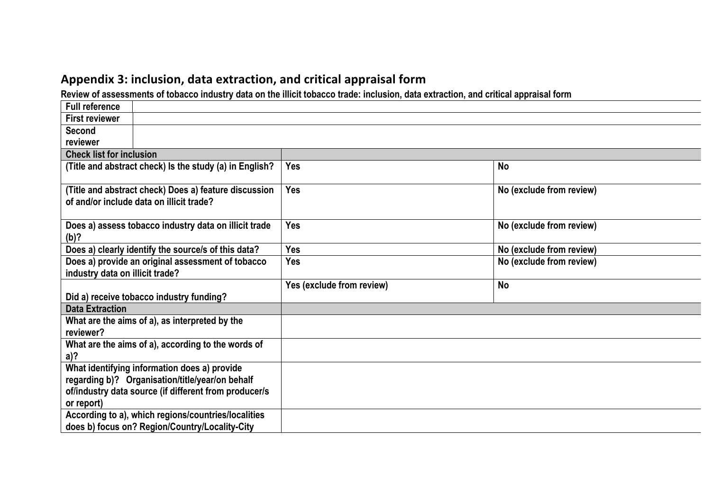# Appendix 3: inclusion, data extraction, and critical appraisal form

**Review of assessments of tobacco industry data on the illicit tobacco trade: inclusion, data extraction, and critical appraisal form**

| <b>Full reference</b>                                                                             |                           |                          |
|---------------------------------------------------------------------------------------------------|---------------------------|--------------------------|
| <b>First reviewer</b>                                                                             |                           |                          |
| <b>Second</b>                                                                                     |                           |                          |
| reviewer                                                                                          |                           |                          |
| <b>Check list for inclusion</b>                                                                   |                           |                          |
| (Title and abstract check) Is the study (a) in English?                                           | <b>Yes</b>                | <b>No</b>                |
| (Title and abstract check) Does a) feature discussion<br>of and/or include data on illicit trade? | Yes                       | No (exclude from review) |
| Does a) assess tobacco industry data on illicit trade<br>(b)?                                     | <b>Yes</b>                | No (exclude from review) |
| Does a) clearly identify the source/s of this data?                                               | <b>Yes</b>                | No (exclude from review) |
| Does a) provide an original assessment of tobacco<br>industry data on illicit trade?              | <b>Yes</b>                | No (exclude from review) |
|                                                                                                   | Yes (exclude from review) | No                       |
| Did a) receive tobacco industry funding?                                                          |                           |                          |
| <b>Data Extraction</b>                                                                            |                           |                          |
| What are the aims of a), as interpreted by the<br>reviewer?                                       |                           |                          |
| What are the aims of a), according to the words of<br>a)?                                         |                           |                          |
| What identifying information does a) provide                                                      |                           |                          |
| regarding b)? Organisation/title/year/on behalf                                                   |                           |                          |
| of/industry data source (if different from producer/s                                             |                           |                          |
| or report)                                                                                        |                           |                          |
| According to a), which regions/countries/localities                                               |                           |                          |
| does b) focus on? Region/Country/Locality-City                                                    |                           |                          |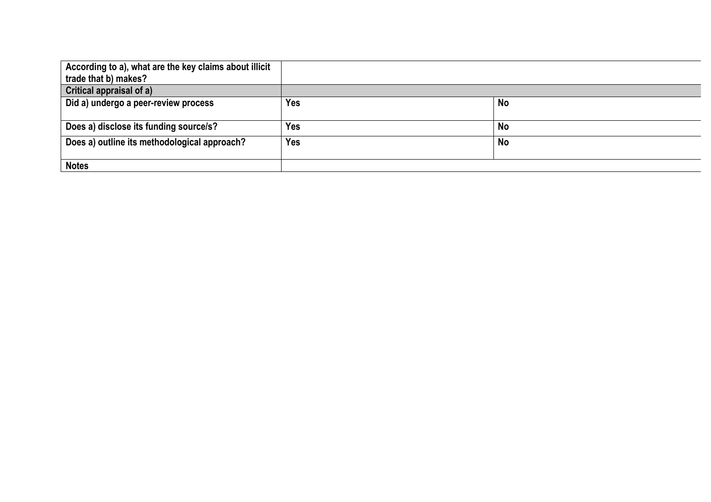| According to a), what are the key claims about illicit<br>trade that b) makes? |            |           |
|--------------------------------------------------------------------------------|------------|-----------|
| <b>Critical appraisal of a)</b>                                                |            |           |
| Did a) undergo a peer-review process                                           | <b>Yes</b> | <b>No</b> |
| Does a) disclose its funding source/s?                                         | Yes        | <b>No</b> |
| Does a) outline its methodological approach?                                   | <b>Yes</b> | <b>No</b> |
| <b>Notes</b>                                                                   |            |           |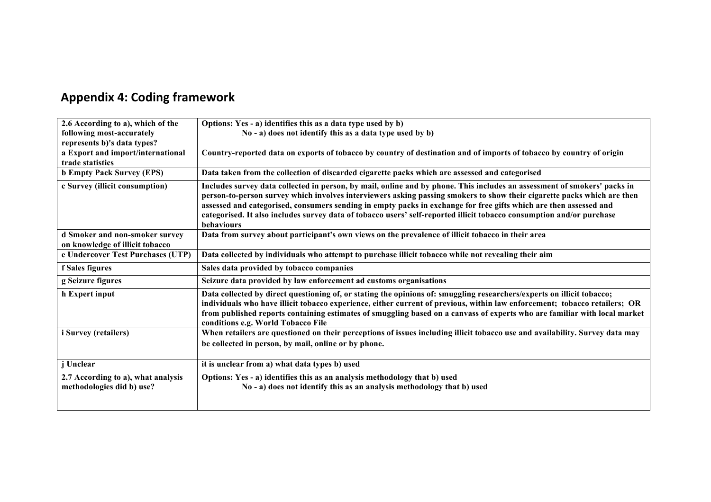# **Appendix 4: Coding framework**

| 2.6 According to a), which of the                                 | Options: Yes - a) identifies this as a data type used by b)                                                                                                                                                                                                                                                                                                                                                                                                                                                     |
|-------------------------------------------------------------------|-----------------------------------------------------------------------------------------------------------------------------------------------------------------------------------------------------------------------------------------------------------------------------------------------------------------------------------------------------------------------------------------------------------------------------------------------------------------------------------------------------------------|
| following most-accurately                                         | No - a) does not identify this as a data type used by b)                                                                                                                                                                                                                                                                                                                                                                                                                                                        |
| represents b)'s data types?                                       |                                                                                                                                                                                                                                                                                                                                                                                                                                                                                                                 |
| a Export and import/international                                 | Country-reported data on exports of tobacco by country of destination and of imports of tobacco by country of origin                                                                                                                                                                                                                                                                                                                                                                                            |
| trade statistics                                                  |                                                                                                                                                                                                                                                                                                                                                                                                                                                                                                                 |
| <b>b Empty Pack Survey (EPS)</b>                                  | Data taken from the collection of discarded cigarette packs which are assessed and categorised                                                                                                                                                                                                                                                                                                                                                                                                                  |
| c Survey (illicit consumption)                                    | Includes survey data collected in person, by mail, online and by phone. This includes an assessment of smokers' packs in<br>person-to-person survey which involves interviewers asking passing smokers to show their cigarette packs which are then<br>assessed and categorised, consumers sending in empty packs in exchange for free gifts which are then assessed and<br>categorised. It also includes survey data of tobacco users' self-reported illicit tobacco consumption and/or purchase<br>behaviours |
| d Smoker and non-smoker survey<br>on knowledge of illicit tobacco | Data from survey about participant's own views on the prevalence of illicit tobacco in their area                                                                                                                                                                                                                                                                                                                                                                                                               |
| e Undercover Test Purchases (UTP)                                 | Data collected by individuals who attempt to purchase illicit tobacco while not revealing their aim                                                                                                                                                                                                                                                                                                                                                                                                             |
| f Sales figures                                                   | Sales data provided by tobacco companies                                                                                                                                                                                                                                                                                                                                                                                                                                                                        |
| g Seizure figures                                                 | Seizure data provided by law enforcement ad customs organisations                                                                                                                                                                                                                                                                                                                                                                                                                                               |
| h Expert input                                                    | Data collected by direct questioning of, or stating the opinions of: smuggling researchers/experts on illicit tobacco;<br>individuals who have illicit tobacco experience, either current of previous, within law enforcement; tobacco retailers; OR<br>from published reports containing estimates of smuggling based on a canvass of experts who are familiar with local market<br>conditions e.g. World Tobacco File                                                                                         |
| i Survey (retailers)                                              | When retailers are questioned on their perceptions of issues including illicit tobacco use and availability. Survey data may<br>be collected in person, by mail, online or by phone.                                                                                                                                                                                                                                                                                                                            |
| j Unclear                                                         | it is unclear from a) what data types b) used                                                                                                                                                                                                                                                                                                                                                                                                                                                                   |
| 2.7 According to a), what analysis<br>methodologies did b) use?   | Options: Yes - a) identifies this as an analysis methodology that b) used<br>No - a) does not identify this as an analysis methodology that b) used                                                                                                                                                                                                                                                                                                                                                             |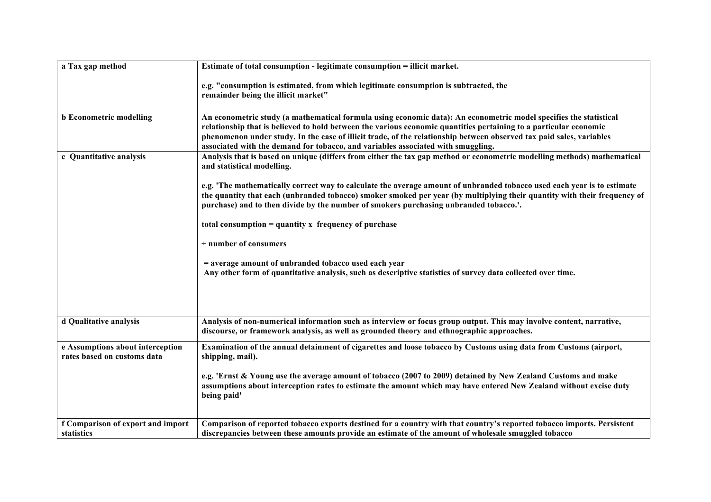| a Tax gap method                                                | Estimate of total consumption - legitimate consumption = illicit market.                                                                                                                                                                                                                                                                                                                                                                           |
|-----------------------------------------------------------------|----------------------------------------------------------------------------------------------------------------------------------------------------------------------------------------------------------------------------------------------------------------------------------------------------------------------------------------------------------------------------------------------------------------------------------------------------|
|                                                                 | e.g. "consumption is estimated, from which legitimate consumption is subtracted, the<br>remainder being the illicit market"                                                                                                                                                                                                                                                                                                                        |
| <b>b</b> Econometric modelling                                  | An econometric study (a mathematical formula using economic data): An econometric model specifies the statistical<br>relationship that is believed to hold between the various economic quantities pertaining to a particular economic<br>phenomenon under study. In the case of illicit trade, of the relationship between observed tax paid sales, variables<br>associated with the demand for tobacco, and variables associated with smuggling. |
| c Quantitative analysis                                         | Analysis that is based on unique (differs from either the tax gap method or econometric modelling methods) mathematical<br>and statistical modelling.                                                                                                                                                                                                                                                                                              |
|                                                                 | e.g. 'The mathematically correct way to calculate the average amount of unbranded tobacco used each year is to estimate<br>the quantity that each (unbranded tobacco) smoker smoked per year (by multiplying their quantity with their frequency of<br>purchase) and to then divide by the number of smokers purchasing unbranded tobacco.'.                                                                                                       |
|                                                                 | total consumption $=$ quantity x frequency of purchase                                                                                                                                                                                                                                                                                                                                                                                             |
|                                                                 | $\div$ number of consumers                                                                                                                                                                                                                                                                                                                                                                                                                         |
|                                                                 | = average amount of unbranded tobacco used each year<br>Any other form of quantitative analysis, such as descriptive statistics of survey data collected over time.                                                                                                                                                                                                                                                                                |
| d Qualitative analysis                                          | Analysis of non-numerical information such as interview or focus group output. This may involve content, narrative,                                                                                                                                                                                                                                                                                                                                |
|                                                                 | discourse, or framework analysis, as well as grounded theory and ethnographic approaches.                                                                                                                                                                                                                                                                                                                                                          |
| e Assumptions about interception<br>rates based on customs data | Examination of the annual detainment of cigarettes and loose tobacco by Customs using data from Customs (airport,<br>shipping, mail).                                                                                                                                                                                                                                                                                                              |
|                                                                 | e.g. 'Ernst & Young use the average amount of tobacco (2007 to 2009) detained by New Zealand Customs and make<br>assumptions about interception rates to estimate the amount which may have entered New Zealand without excise duty<br>being paid'                                                                                                                                                                                                 |
| f Comparison of export and import                               | Comparison of reported tobacco exports destined for a country with that country's reported tobacco imports. Persistent                                                                                                                                                                                                                                                                                                                             |
| statistics                                                      | discrepancies between these amounts provide an estimate of the amount of wholesale smuggled tobacco                                                                                                                                                                                                                                                                                                                                                |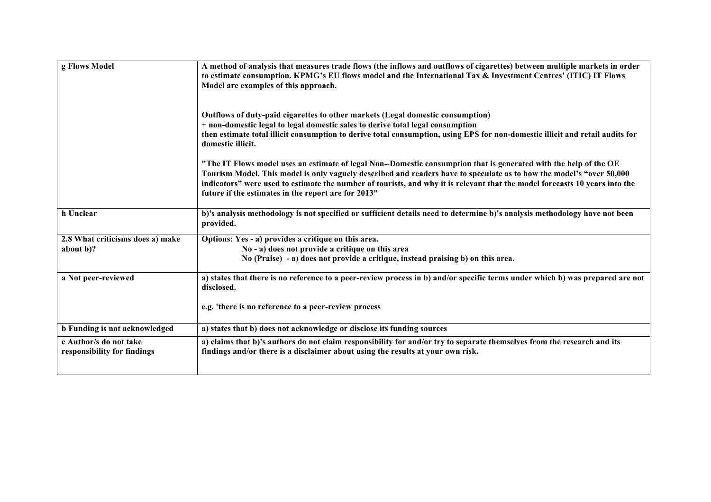| g Flows Model                                         | A method of analysis that measures trade flows (the inflows and outflows of cigarettes) between multiple markets in order<br>to estimate consumption. KPMG's EU flows model and the International Tax & Investment Centres' (ITIC) IT Flows<br>Model are examples of this approach.<br>Outflows of duty-paid cigarettes to other markets (Legal domestic consumption)<br>+ non-domestic legal to legal domestic sales to derive total legal consumption<br>then estimate total illicit consumption to derive total consumption, using EPS for non-domestic illicit and retail audits for<br>domestic illicit.<br>"The IT Flows model uses an estimate of legal Non--Domestic consumption that is generated with the help of the OE<br>Tourism Model. This model is only vaguely described and readers have to speculate as to how the model's "over 50,000 |
|-------------------------------------------------------|------------------------------------------------------------------------------------------------------------------------------------------------------------------------------------------------------------------------------------------------------------------------------------------------------------------------------------------------------------------------------------------------------------------------------------------------------------------------------------------------------------------------------------------------------------------------------------------------------------------------------------------------------------------------------------------------------------------------------------------------------------------------------------------------------------------------------------------------------------|
|                                                       | indicators" were used to estimate the number of tourists, and why it is relevant that the model forecasts 10 years into the<br>future if the estimates in the report are for 2013"                                                                                                                                                                                                                                                                                                                                                                                                                                                                                                                                                                                                                                                                         |
| h Unclear                                             | b)'s analysis methodology is not specified or sufficient details need to determine b)'s analysis methodology have not been<br>provided.                                                                                                                                                                                                                                                                                                                                                                                                                                                                                                                                                                                                                                                                                                                    |
| 2.8 What criticisms does a) make                      | Options: Yes - a) provides a critique on this area.                                                                                                                                                                                                                                                                                                                                                                                                                                                                                                                                                                                                                                                                                                                                                                                                        |
| about b)?                                             | No - a) does not provide a critique on this area                                                                                                                                                                                                                                                                                                                                                                                                                                                                                                                                                                                                                                                                                                                                                                                                           |
|                                                       | No (Praise) - a) does not provide a critique, instead praising b) on this area.                                                                                                                                                                                                                                                                                                                                                                                                                                                                                                                                                                                                                                                                                                                                                                            |
| a Not peer-reviewed                                   | a) states that there is no reference to a peer-review process in b) and/or specific terms under which b) was prepared are not<br>disclosed.                                                                                                                                                                                                                                                                                                                                                                                                                                                                                                                                                                                                                                                                                                                |
|                                                       | e.g. 'there is no reference to a peer-review process                                                                                                                                                                                                                                                                                                                                                                                                                                                                                                                                                                                                                                                                                                                                                                                                       |
| <b>b</b> Funding is not acknowledged                  | a) states that b) does not acknowledge or disclose its funding sources                                                                                                                                                                                                                                                                                                                                                                                                                                                                                                                                                                                                                                                                                                                                                                                     |
| c Author/s do not take<br>responsibility for findings | a) claims that b)'s authors do not claim responsibility for and/or try to separate themselves from the research and its<br>findings and/or there is a disclaimer about using the results at your own risk.                                                                                                                                                                                                                                                                                                                                                                                                                                                                                                                                                                                                                                                 |
|                                                       |                                                                                                                                                                                                                                                                                                                                                                                                                                                                                                                                                                                                                                                                                                                                                                                                                                                            |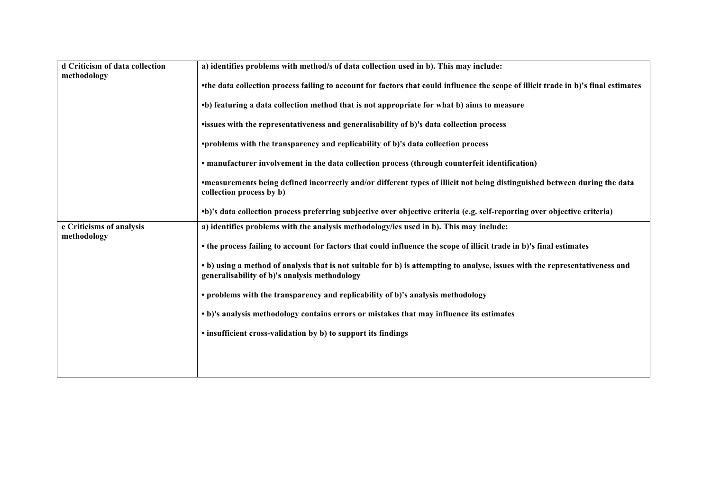| d Criticism of data collection          | a) identifies problems with method/s of data collection used in b). This may include:                                                                                         |  |  |  |  |  |  |  |
|-----------------------------------------|-------------------------------------------------------------------------------------------------------------------------------------------------------------------------------|--|--|--|--|--|--|--|
| methodology                             |                                                                                                                                                                               |  |  |  |  |  |  |  |
|                                         | •the data collection process failing to account for factors that could influence the scope of illicit trade in b)'s final estimates                                           |  |  |  |  |  |  |  |
|                                         | •b) featuring a data collection method that is not appropriate for what b) aims to measure                                                                                    |  |  |  |  |  |  |  |
|                                         | •issues with the representativeness and generalisability of b)'s data collection process                                                                                      |  |  |  |  |  |  |  |
|                                         | •problems with the transparency and replicability of b)'s data collection process                                                                                             |  |  |  |  |  |  |  |
|                                         | • manufacturer involvement in the data collection process (through counterfeit identification)                                                                                |  |  |  |  |  |  |  |
|                                         | •measurements being defined incorrectly and/or different types of illicit not being distinguished between during the data<br>collection process by b)                         |  |  |  |  |  |  |  |
|                                         | •b)'s data collection process preferring subjective over objective criteria (e.g. self-reporting over objective criteria)                                                     |  |  |  |  |  |  |  |
| e Criticisms of analysis<br>methodology | a) identifies problems with the analysis methodology/ies used in b). This may include:                                                                                        |  |  |  |  |  |  |  |
|                                         | • the process failing to account for factors that could influence the scope of illicit trade in b)'s final estimates                                                          |  |  |  |  |  |  |  |
|                                         | • b) using a method of analysis that is not suitable for b) is attempting to analyse, issues with the representativeness and<br>generalisability of b)'s analysis methodology |  |  |  |  |  |  |  |
|                                         | • problems with the transparency and replicability of b)'s analysis methodology                                                                                               |  |  |  |  |  |  |  |
|                                         | • b)'s analysis methodology contains errors or mistakes that may influence its estimates                                                                                      |  |  |  |  |  |  |  |
|                                         | • insufficient cross-validation by b) to support its findings                                                                                                                 |  |  |  |  |  |  |  |
|                                         |                                                                                                                                                                               |  |  |  |  |  |  |  |
|                                         |                                                                                                                                                                               |  |  |  |  |  |  |  |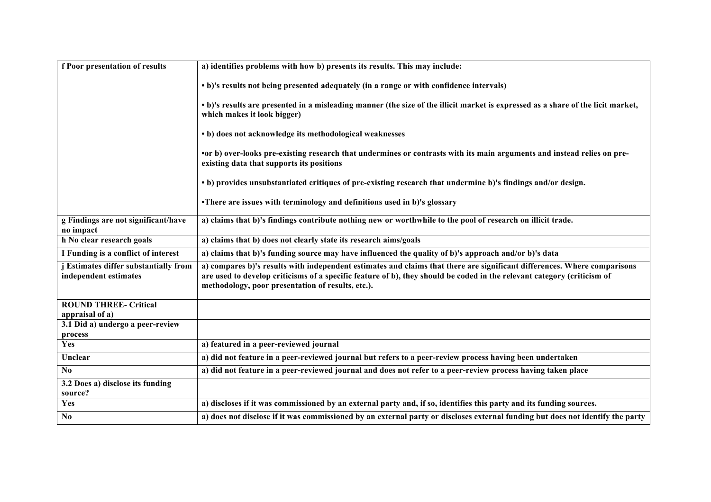| f Poor presentation of results                                 | a) identifies problems with how b) presents its results. This may include:                                                                                                                                                                                                                               |
|----------------------------------------------------------------|----------------------------------------------------------------------------------------------------------------------------------------------------------------------------------------------------------------------------------------------------------------------------------------------------------|
|                                                                | • b)'s results not being presented adequately (in a range or with confidence intervals)                                                                                                                                                                                                                  |
|                                                                | • b)'s results are presented in a misleading manner (the size of the illicit market is expressed as a share of the licit market,<br>which makes it look bigger)                                                                                                                                          |
|                                                                | • b) does not acknowledge its methodological weaknesses                                                                                                                                                                                                                                                  |
|                                                                | or b) over-looks pre-existing research that undermines or contrasts with its main arguments and instead relies on pre-<br>existing data that supports its positions                                                                                                                                      |
|                                                                | • b) provides unsubstantiated critiques of pre-existing research that undermine b)'s findings and/or design.                                                                                                                                                                                             |
|                                                                | •There are issues with terminology and definitions used in b)'s glossary                                                                                                                                                                                                                                 |
| g Findings are not significant/have<br>no impact               | a) claims that b)'s findings contribute nothing new or worthwhile to the pool of research on illicit trade.                                                                                                                                                                                              |
| h No clear research goals                                      | a) claims that b) does not clearly state its research aims/goals                                                                                                                                                                                                                                         |
| I Funding is a conflict of interest                            | a) claims that b)'s funding source may have influenced the quality of b)'s approach and/or b)'s data                                                                                                                                                                                                     |
| j Estimates differ substantially from<br>independent estimates | a) compares b)'s results with independent estimates and claims that there are significant differences. Where comparisons<br>are used to develop criticisms of a specific feature of b), they should be coded in the relevant category (criticism of<br>methodology, poor presentation of results, etc.). |
| <b>ROUND THREE- Critical</b><br>appraisal of a)                |                                                                                                                                                                                                                                                                                                          |
| 3.1 Did a) undergo a peer-review<br>process                    |                                                                                                                                                                                                                                                                                                          |
| Yes                                                            | a) featured in a peer-reviewed journal                                                                                                                                                                                                                                                                   |
| Unclear                                                        | a) did not feature in a peer-reviewed journal but refers to a peer-review process having been undertaken                                                                                                                                                                                                 |
| N <sub>0</sub>                                                 | a) did not feature in a peer-reviewed journal and does not refer to a peer-review process having taken place                                                                                                                                                                                             |
| 3.2 Does a) disclose its funding<br>source?                    |                                                                                                                                                                                                                                                                                                          |
| Yes                                                            | a) discloses if it was commissioned by an external party and, if so, identifies this party and its funding sources.                                                                                                                                                                                      |
| N <sub>0</sub>                                                 | a) does not disclose if it was commissioned by an external party or discloses external funding but does not identify the party                                                                                                                                                                           |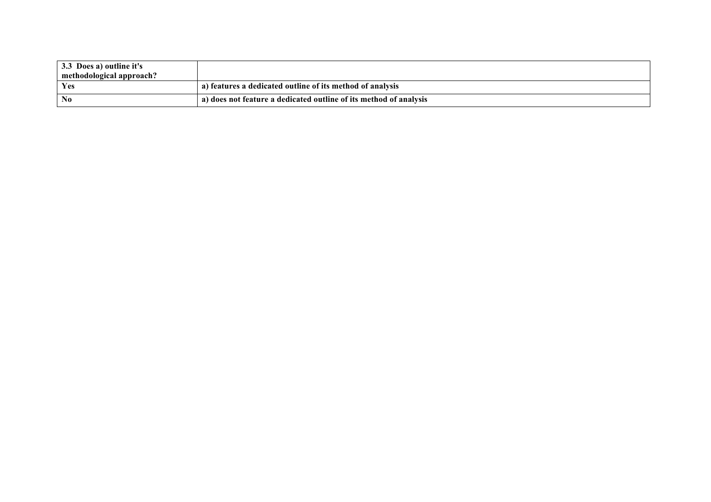| 3.3 Does a) outline it's<br>methodological approach? |                                                                   |
|------------------------------------------------------|-------------------------------------------------------------------|
| Yes                                                  | a) features a dedicated outline of its method of analysis         |
| No                                                   | a) does not feature a dedicated outline of its method of analysis |